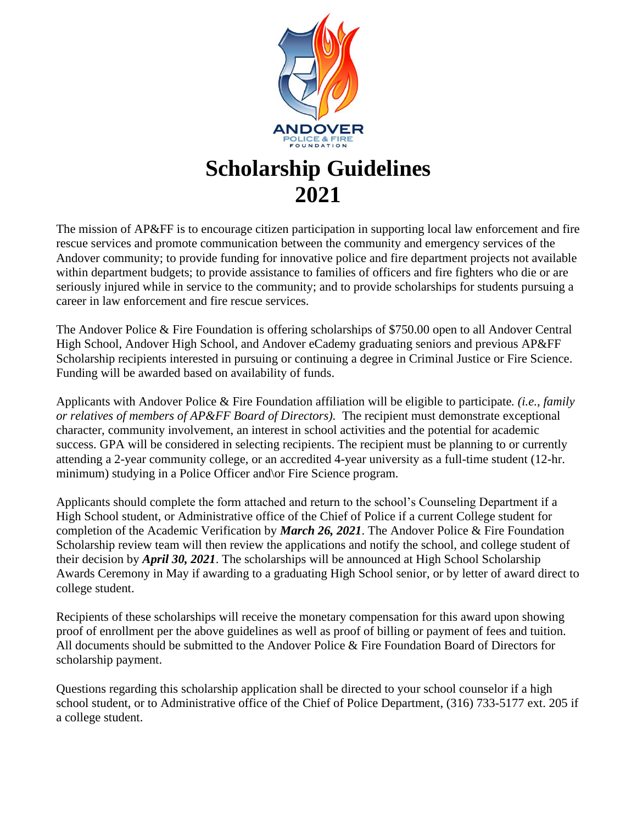

# **2021**

The mission of AP&FF is to encourage citizen participation in supporting local law enforcement and fire rescue services and promote communication between the community and emergency services of the Andover community; to provide funding for innovative police and fire department projects not available within department budgets; to provide assistance to families of officers and fire fighters who die or are seriously injured while in service to the community; and to provide scholarships for students pursuing a career in law enforcement and fire rescue services.

The Andover Police & Fire Foundation is offering scholarships of \$750.00 open to all Andover Central High School, Andover High School, and Andover eCademy graduating seniors and previous AP&FF Scholarship recipients interested in pursuing or continuing a degree in Criminal Justice or Fire Science. Funding will be awarded based on availability of funds.

Applicants with Andover Police & Fire Foundation affiliation will be eligible to participate*. (i.e., family or relatives of members of AP&FF Board of Directors).* The recipient must demonstrate exceptional character, community involvement, an interest in school activities and the potential for academic success. GPA will be considered in selecting recipients. The recipient must be planning to or currently attending a 2-year community college, or an accredited 4-year university as a full-time student (12-hr. minimum) studying in a Police Officer and\or Fire Science program.

Applicants should complete the form attached and return to the school's Counseling Department if a High School student, or Administrative office of the Chief of Police if a current College student for completion of the Academic Verification by *March 26, 2021*. The Andover Police & Fire Foundation Scholarship review team will then review the applications and notify the school, and college student of their decision by *April 30, 2021*. The scholarships will be announced at High School Scholarship Awards Ceremony in May if awarding to a graduating High School senior, or by letter of award direct to college student.

Recipients of these scholarships will receive the monetary compensation for this award upon showing proof of enrollment per the above guidelines as well as proof of billing or payment of fees and tuition. All documents should be submitted to the Andover Police & Fire Foundation Board of Directors for scholarship payment.

Questions regarding this scholarship application shall be directed to your school counselor if a high school student, or to Administrative office of the Chief of Police Department, (316) 733-5177 ext. 205 if a college student.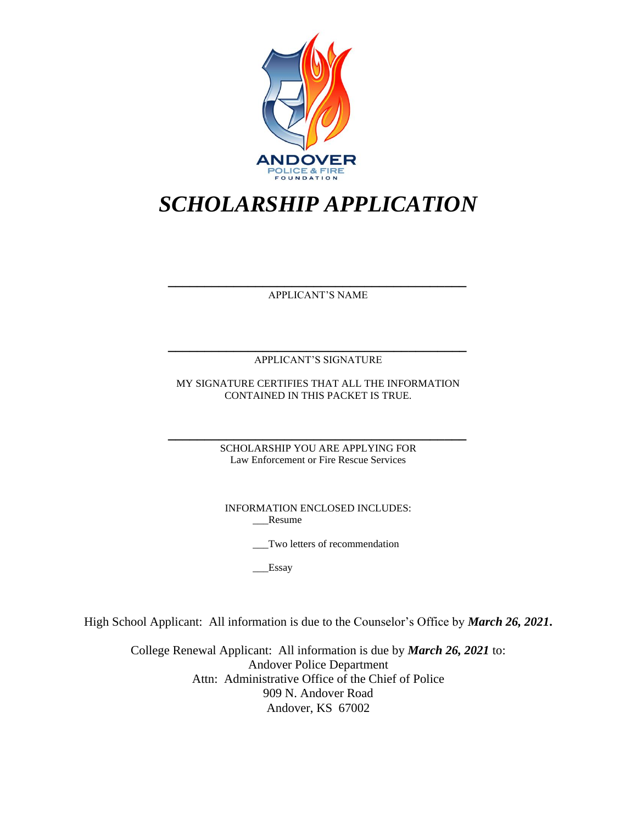

# *SCHOLARSHIP APPLICATION*

*\_\_\_\_\_\_\_\_\_\_\_\_\_\_\_\_\_\_\_\_\_\_\_\_\_\_\_\_\_\_\_\_\_\_\_\_\_\_\_\_\_* APPLICANT'S NAME

*\_\_\_\_\_\_\_\_\_\_\_\_\_\_\_\_\_\_\_\_\_\_\_\_\_\_\_\_\_\_\_\_\_\_\_\_\_\_\_\_\_* APPLICANT'S SIGNATURE

MY SIGNATURE CERTIFIES THAT ALL THE INFORMATION CONTAINED IN THIS PACKET IS TRUE.

*\_\_\_\_\_\_\_\_\_\_\_\_\_\_\_\_\_\_\_\_\_\_\_\_\_\_\_\_\_\_\_\_\_\_\_\_\_\_\_\_\_* SCHOLARSHIP YOU ARE APPLYING FOR Law Enforcement or Fire Rescue Services

> INFORMATION ENCLOSED INCLUDES: \_\_\_Resume

> > \_\_\_Two letters of recommendation

Essay

High School Applicant: All information is due to the Counselor's Office by *March 26, 2021***.**

College Renewal Applicant: All information is due by *March 26, 2021* to: Andover Police Department Attn: Administrative Office of the Chief of Police 909 N. Andover Road Andover, KS 67002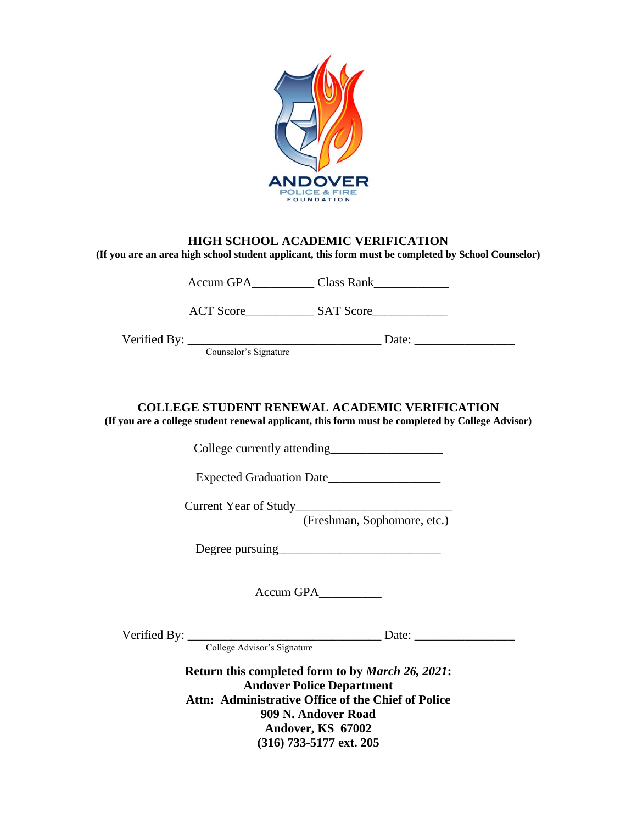

#### **HIGH SCHOOL ACADEMIC VERIFICATION**

**(If you are an area high school student applicant, this form must be completed by School Counselor)**

Accum GPA\_\_\_\_\_\_\_\_\_\_ Class Rank\_\_\_\_\_\_\_\_\_\_\_\_

ACT Score\_\_\_\_\_\_\_\_\_\_\_ SAT Score\_\_\_\_\_\_\_\_\_\_\_\_

Verified By: \_\_\_\_\_\_\_\_\_\_\_\_\_\_\_\_\_\_\_\_\_\_\_\_\_\_\_\_\_\_\_ Date: \_\_\_\_\_\_\_\_\_\_\_\_\_\_\_\_

Counselor's Signature

### **COLLEGE STUDENT RENEWAL ACADEMIC VERIFICATION**

**(If you are a college student renewal applicant, this form must be completed by College Advisor)**

College currently attending

Expected Graduation Date\_\_\_\_\_\_\_\_\_\_\_\_\_\_\_\_\_\_

Current Year of Study\_\_\_\_\_\_\_\_\_\_\_\_\_\_\_\_\_\_\_\_\_\_\_\_\_

(Freshman, Sophomore, etc.)

Degree pursuing\_\_\_\_\_\_\_\_\_\_\_\_\_\_\_\_\_\_\_\_\_\_\_\_\_\_

Accum GPA\_\_\_\_\_\_\_\_\_\_

Verified By: \_\_\_\_\_\_\_\_\_\_\_\_\_\_\_\_\_\_\_\_\_\_\_\_\_\_\_\_\_\_\_ Date: \_\_\_\_\_\_\_\_\_\_\_\_\_\_\_\_

College Advisor's Signature

**Return this completed form to by** *March 26, 2021***: Andover Police Department Attn: Administrative Office of the Chief of Police 909 N. Andover Road Andover, KS 67002 (316) 733-5177 ext. 205**